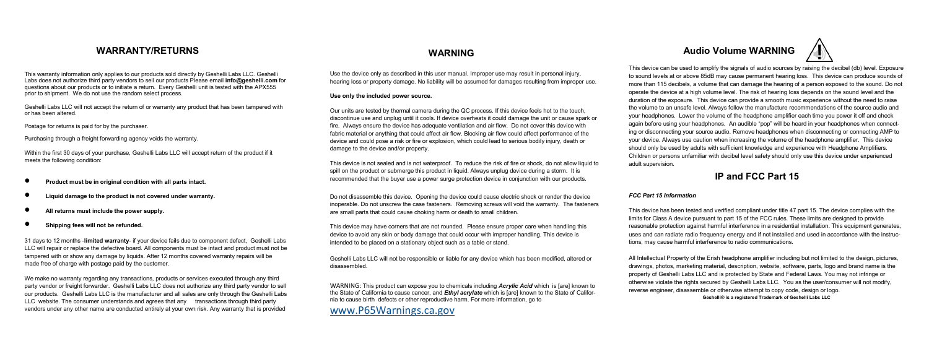This warranty information only applies to our products sold directly by Geshelli Labs LLC. Geshelli Labs does not authorize third party vendors to sell our products Please email **info@geshelli.com** for questions about our products or to initiate a return. Every Geshelli unit is tested with the APX555 prior to shipment. We do not use the random select process.

Geshelli Labs LLC will not accept the return of or warranty any product that has been tampered with or has been altered.

Postage for returns is paid for by the purchaser.

Purchasing through a freight forwarding agency voids the warranty.

Within the first 30 days of your purchase, Geshelli Labs LLC will accept return of the product if it meets the following condition:

- **Product must be in original condition with all parts intact.**
- **Liquid damage to the product is not covered under warranty.**
- **All returns must include the power supply.**
- **Shipping fees will not be refunded.**

31 days to 12 months -**limited warranty**- if your device fails due to component defect, Geshelli Labs LLC will repair or replace the defective board. All components must be intact and product must not be tampered with or show any damage by liquids. After 12 months covered warranty repairs will be made free of charge with postage paid by the customer.

We make no warranty regarding any transactions, products or services executed through any third party vendor or freight forwarder. Geshelli Labs LLC does not authorize any third party vendor to sell our products. Geshelli Labs LLC is the manufacturer and all sales are only through the Geshelli Labs LLC website. The consumer understands and agrees that any transactions through third party vendors under any other name are conducted entirely at your own risk. Any warranty that is provided

Use the device only as described in this user manual. Improper use may result in personal injury, hearing loss or property damage. No liability will be assumed for damages resulting from improper use.

### **Use only the included power source.**

Our units are tested by thermal camera during the QC process. If this device feels hot to the touch, discontinue use and unplug until it cools. If device overheats it could damage the unit or cause spark or fire. Always ensure the device has adequate ventilation and air flow. Do not cover this device with fabric material or anything that could affect air flow. Blocking air flow could affect performance of the device and could pose a risk or fire or explosion, which could lead to serious bodily injury, death or damage to the device and/or property.

This device is not sealed and is not waterproof. To reduce the risk of fire or shock, do not allow liquid to spill on the product or submerge this product in liquid. Always unplug device during a storm. It is recommended that the buyer use a power surge protection device in conjunction with our products.

Do not disassemble this device. Opening the device could cause electric shock or render the device inoperable. Do not unscrew the case fasteners. Removing screws will void the warranty. The fasteners are small parts that could cause choking harm or death to small children.

This device may have corners that are not rounded. Please ensure proper care when handling this device to avoid any skin or body damage that could occur with improper handling. This device is intended to be placed on a stationary object such as a table or stand.

Geshelli Labs LLC will not be responsible or liable for any device which has been modified, altered or disassembled.

WARNING: This product can expose you to chemicals including *Acrylic Acid* which is [are] known to the State of California to cause cancer, and *Ethyl acrylate* which is [are] known to the State of California to cause birth defects or other reproductive harm. For more information, go to

[www.P65Warnings.ca.gov](http://www.p65warnings.ca.gov/)

# **WARRANTY/RETURNS WARNING Audio Volume WARNING**

This device can be used to amplify the signals of audio sources by raising the decibel (db) level. Exposure to sound levels at or above 85dB may cause permanent hearing loss. This device can produce sounds of more than 115 decibels, a volume that can damage the hearing of a person exposed to the sound. Do not operate the device at a high volume level. The risk of hearing loss depends on the sound level and the duration of the exposure. This device can provide a smooth music experience without the need to raise the volume to an unsafe level. Always follow the manufacture recommendations of the source audio and your headphones. Lower the volume of the headphone amplifier each time you power it off and check again before using your headphones. An audible "pop" will be heard in your headphones when connecting or disconnecting your source audio. Remove headphones when disconnecting or connecting AMP to your device. Always use caution when increasing the volume of the headphone amplifier. This device should only be used by adults with sufficient knowledge and experience with Headphone Amplifiers. Children or persons unfamiliar with decibel level safety should only use this device under experienced adult supervision.

## **IP and FCC Part 15**

## *FCC Part 15 Information*

This device has been tested and verified compliant under title 47 part 15. The device complies with the limits for Class A device pursuant to part 15 of the FCC rules. These limits are designed to provide reasonable protection against harmful interference in a residential installation. This equipment generates, uses and can radiate radio frequency energy and if not installed and used in accordance with the instructions, may cause harmful interference to radio communications.

All Intellectual Property of the Erish headphone amplifier including but not limited to the design, pictures, drawings, photos, marketing material, description, website, software, parts, logo and brand name is the property of Geshelli Labs LLC and is protected by State and Federal Laws. You may not infringe or otherwise violate the rights secured by Geshelli Labs LLC. You as the user/consumer will not modify, reverse engineer, disassemble or otherwise attempt to copy code, design or logo. **Geshelli® is a registered Trademark of Geshelli Labs LLC**